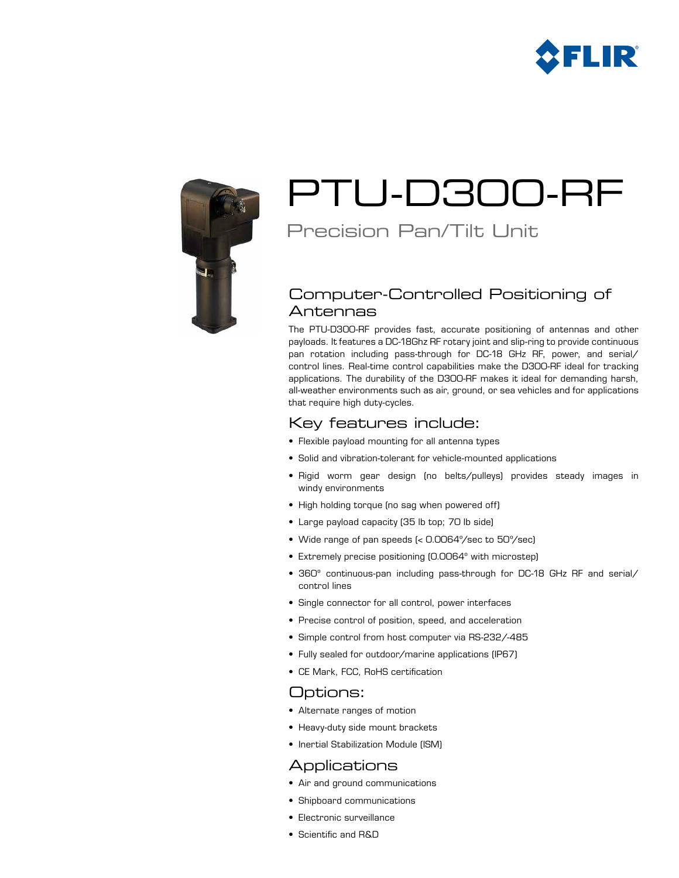



# PTU-D300-RF

## Precision Pan/Tilt Unit

## Computer-Controlled Positioning of Antennas

The PTU-D300-RF provides fast, accurate positioning of antennas and other payloads. It features a DC-18Ghz RF rotary joint and slip-ring to provide continuous pan rotation including pass-through for DC-18 GHz RF, power, and serial/ control lines. Real-time control capabilities make the D300-RF ideal for tracking applications. The durability of the D300-RF makes it ideal for demanding harsh, all-weather environments such as air, ground, or sea vehicles and for applications that require high duty-cycles.

## Key features include:

- • Flexible payload mounting for all antenna types
- • Solid and vibration-tolerant for vehicle-mounted applications
- • Rigid worm gear design (no belts/pulleys) provides steady images in windy environments
- High holding torque (no sag when powered off)
- Large payload capacity (35 lb top; 70 lb side)
- • Wide range of pan speeds (< 0.0064º/sec to 50º/sec)
- Extremely precise positioning (0.0064° with microstep)
- 360° continuous-pan including pass-through for DC-18 GHz RF and serial/ control lines
- Single connector for all control, power interfaces
- Precise control of position, speed, and acceleration
- Simple control from host computer via RS-232/-485
- Fully sealed for outdoor/marine applications (IP67)
- • CE Mark, FCC, RoHS certification

## Options:

- • Alternate ranges of motion
- Heavy-duty side mount brackets
- • Inertial Stabilization Module (ISM)

### Applications

- • Air and ground communications
- • Shipboard communications
- • Electronic surveillance
- • Scientific and R&D